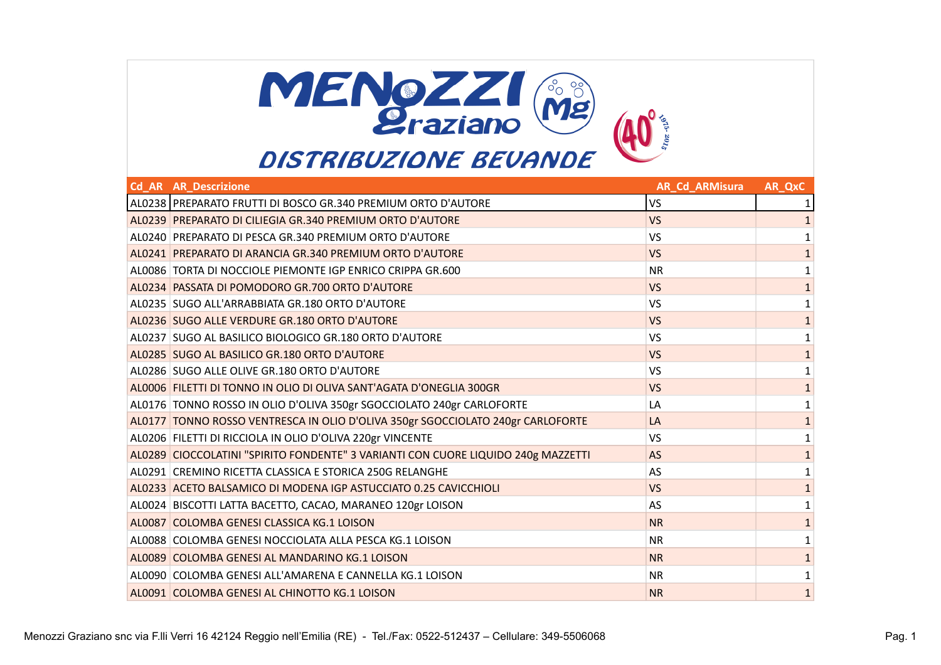

| <b>Cd AR AR Descrizione</b>                                                       | <b>AR Cd ARMisura</b> | AR QxC       |
|-----------------------------------------------------------------------------------|-----------------------|--------------|
| AL0238 PREPARATO FRUTTI DI BOSCO GR.340 PREMIUM ORTO D'AUTORE                     | VS                    | 1            |
| AL0239 PREPARATO DI CILIEGIA GR.340 PREMIUM ORTO D'AUTORE                         | <b>VS</b>             |              |
| AL0240 PREPARATO DI PESCA GR.340 PREMIUM ORTO D'AUTORE                            | VS                    | 1            |
| AL0241 PREPARATO DI ARANCIA GR.340 PREMIUM ORTO D'AUTORE                          | <b>VS</b>             |              |
| AL0086 TORTA DI NOCCIOLE PIEMONTE IGP ENRICO CRIPPA GR.600                        | <b>NR</b>             | 1            |
| AL0234 PASSATA DI POMODORO GR.700 ORTO D'AUTORE                                   | <b>VS</b>             | 1            |
| AL0235 SUGO ALL'ARRABBIATA GR.180 ORTO D'AUTORE                                   | <b>VS</b>             |              |
| AL0236 SUGO ALLE VERDURE GR.180 ORTO D'AUTORE                                     | <b>VS</b>             | $\mathbf{1}$ |
| AL0237 SUGO AL BASILICO BIOLOGICO GR.180 ORTO D'AUTORE                            | VS                    | 1            |
| AL0285 SUGO AL BASILICO GR.180 ORTO D'AUTORE                                      | <b>VS</b>             | 1            |
| AL0286 SUGO ALLE OLIVE GR.180 ORTO D'AUTORE                                       | VS                    | 1            |
| AL0006 FILETTI DI TONNO IN OLIO DI OLIVA SANT'AGATA D'ONEGLIA 300GR               | <b>VS</b>             | 1            |
| AL0176 TONNO ROSSO IN OLIO D'OLIVA 350gr SGOCCIOLATO 240gr CARLOFORTE             | LA                    | 1            |
| AL0177 TONNO ROSSO VENTRESCA IN OLIO D'OLIVA 350gr SGOCCIOLATO 240gr CARLOFORTE   | LA                    | 1            |
| AL0206 FILETTI DI RICCIOLA IN OLIO D'OLIVA 220gr VINCENTE                         | <b>VS</b>             |              |
| AL0289 CIOCCOLATINI "SPIRITO FONDENTE" 3 VARIANTI CON CUORE LIQUIDO 240g MAZZETTI | <b>AS</b>             | $\mathbf{1}$ |
| AL0291 CREMINO RICETTA CLASSICA E STORICA 250G RELANGHE                           | AS                    | 1            |
| AL0233 ACETO BALSAMICO DI MODENA IGP ASTUCCIATO 0.25 CAVICCHIOLI                  | <b>VS</b>             | $\mathbf{1}$ |
| AL0024 BISCOTTI LATTA BACETTO, CACAO, MARANEO 120gr LOISON                        | AS                    | 1            |
| AL0087 COLOMBA GENESI CLASSICA KG.1 LOISON                                        | <b>NR</b>             | 1            |
| AL0088 COLOMBA GENESI NOCCIOLATA ALLA PESCA KG.1 LOISON                           | <b>NR</b>             |              |
| AL0089 COLOMBA GENESI AL MANDARINO KG.1 LOISON                                    | <b>NR</b>             | $\mathbf 1$  |
| AL0090 COLOMBA GENESI ALL'AMARENA E CANNELLA KG.1 LOISON                          | <b>NR</b>             | 1            |
| AL0091 COLOMBA GENESI AL CHINOTTO KG.1 LOISON                                     | <b>NR</b>             | $\mathbf{1}$ |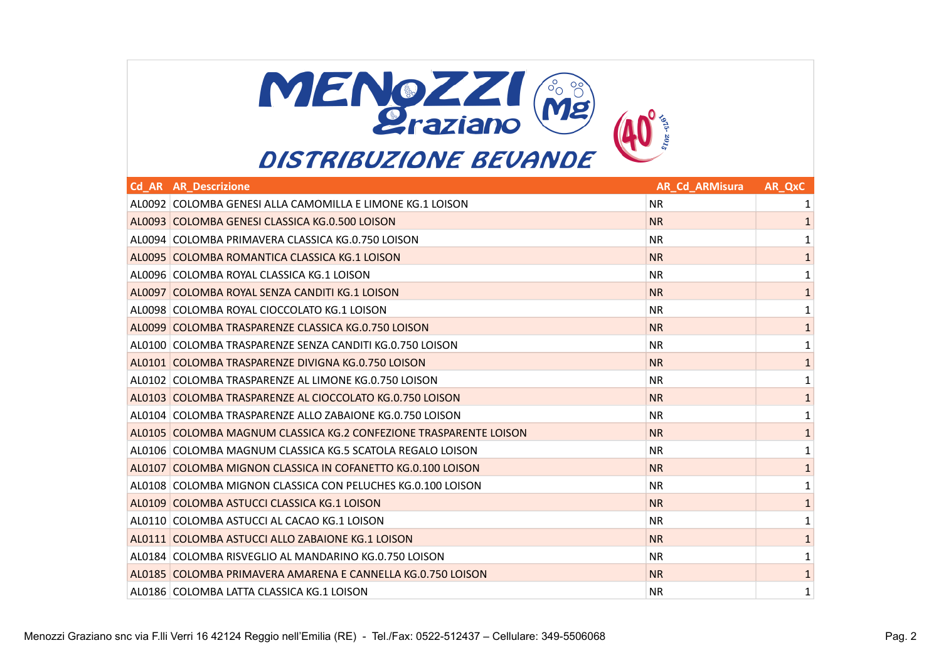

| <b>Cd AR AR Descrizione</b>                                       | <b>AR Cd ARMisura</b> | AR QxC       |
|-------------------------------------------------------------------|-----------------------|--------------|
| AL0092 COLOMBA GENESI ALLA CAMOMILLA E LIMONE KG.1 LOISON         | <b>NR</b>             | 1            |
| AL0093 COLOMBA GENESI CLASSICA KG.0.500 LOISON                    | <b>NR</b>             | 1            |
| AL0094 COLOMBA PRIMAVERA CLASSICA KG.0.750 LOISON                 | <b>NR</b>             | 1            |
| AL0095 COLOMBA ROMANTICA CLASSICA KG.1 LOISON                     | <b>NR</b>             | $\mathbf{1}$ |
| AL0096 COLOMBA ROYAL CLASSICA KG.1 LOISON                         | <b>NR</b>             | 1            |
| AL0097 COLOMBA ROYAL SENZA CANDITI KG.1 LOISON                    | <b>NR</b>             | 1            |
| AL0098 COLOMBA ROYAL CIOCCOLATO KG.1 LOISON                       | <b>NR</b>             | 1            |
| AL0099 COLOMBA TRASPARENZE CLASSICA KG.0.750 LOISON               | <b>NR</b>             | $\mathbf{1}$ |
| AL0100 COLOMBA TRASPARENZE SENZA CANDITI KG.0.750 LOISON          | <b>NR</b>             | 1            |
| AL0101 COLOMBA TRASPARENZE DIVIGNA KG.0.750 LOISON                | <b>NR</b>             | $\mathbf{1}$ |
| AL0102 COLOMBA TRASPARENZE AL LIMONE KG.0.750 LOISON              | <b>NR</b>             | 1            |
| AL0103 COLOMBA TRASPARENZE AL CIOCCOLATO KG.0.750 LOISON          | <b>NR</b>             | $\mathbf{1}$ |
| AL0104 COLOMBA TRASPARENZE ALLO ZABAJONE KG.0.750 LOISON          | <b>NR</b>             | 1            |
| AL0105 COLOMBA MAGNUM CLASSICA KG.2 CONFEZIONE TRASPARENTE LOISON | <b>NR</b>             | 1            |
| AL0106 COLOMBA MAGNUM CLASSICA KG.5 SCATOLA REGALO LOISON         | NR.                   | 1            |
| AL0107 COLOMBA MIGNON CLASSICA IN COFANETTO KG.0.100 LOISON       | <b>NR</b>             | $\mathbf{1}$ |
| AL0108 COLOMBA MIGNON CLASSICA CON PELUCHES KG.0.100 LOISON       | <b>NR</b>             | 1            |
| AL0109 COLOMBA ASTUCCI CLASSICA KG.1 LOISON                       | <b>NR</b>             | 1            |
| AL0110 COLOMBA ASTUCCI AL CACAO KG.1 LOISON                       | <b>NR</b>             | 1            |
| AL0111 COLOMBA ASTUCCI ALLO ZABAIONE KG.1 LOISON                  | <b>NR</b>             | $\mathbf{1}$ |
| AL0184 COLOMBA RISVEGLIO AL MANDARINO KG.0.750 LOISON             | <b>NR</b>             | 1            |
| AL0185 COLOMBA PRIMAVERA AMARENA E CANNELLA KG.0.750 LOISON       | <b>NR</b>             | $\mathbf{1}$ |
| AL0186 COLOMBA LATTA CLASSICA KG.1 LOISON                         | <b>NR</b>             | 1            |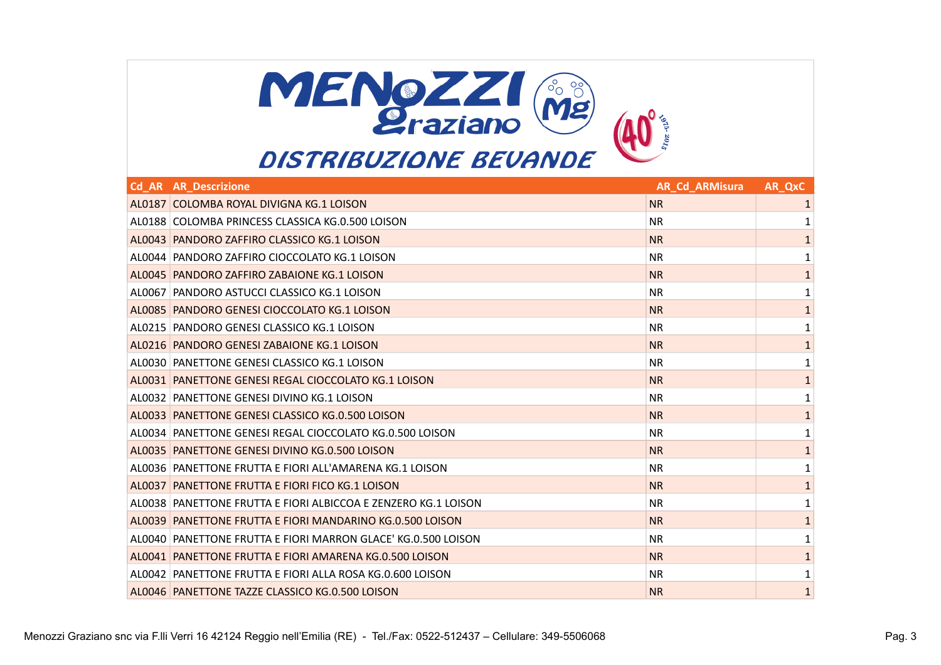

| <b>Cd AR AR Descrizione</b>                                    | <b>AR Cd ARMisura</b> | AR QxC       |
|----------------------------------------------------------------|-----------------------|--------------|
| AL0187 COLOMBA ROYAL DIVIGNA KG.1 LOISON                       | <b>NR</b>             | 1            |
| AL0188 COLOMBA PRINCESS CLASSICA KG.0.500 LOISON               | <b>NR</b>             | 1            |
| AL0043 PANDORO ZAFFIRO CLASSICO KG.1 LOISON                    | <b>NR</b>             | 1            |
| AL0044 PANDORO ZAFFIRO CIOCCOLATO KG.1 LOISON                  | <b>NR</b>             | 1            |
| AL0045 PANDORO ZAFFIRO ZABAJONE KG.1 LOISON                    | <b>NR</b>             | 1            |
| AL0067 PANDORO ASTUCCI CLASSICO KG.1 LOISON                    | <b>NR</b>             | 1            |
| AL0085 PANDORO GENESI CIOCCOLATO KG.1 LOISON                   | <b>NR</b>             | $\mathbf{1}$ |
| AL0215   PANDORO GENESI CLASSICO KG.1 LOISON                   | <b>NR</b>             | 1            |
| AL0216 PANDORO GENESI ZABAIONE KG.1 LOISON                     | <b>NR</b>             | $\mathbf{1}$ |
| AL0030 PANETTONE GENESI CLASSICO KG.1 LOISON                   | <b>NR</b>             | 1            |
| AL0031 PANETTONE GENESI REGAL CIOCCOLATO KG.1 LOISON           | <b>NR</b>             | $\mathbf{1}$ |
| AL0032 PANETTONE GENESI DIVINO KG.1 LOISON                     | <b>NR</b>             | 1            |
| AL0033 PANETTONE GENESI CLASSICO KG.0.500 LOISON               | <b>NR</b>             | 1            |
| AL0034 PANETTONE GENESI REGAL CIOCCOLATO KG.0.500 LOISON       | <b>NR</b>             |              |
| AL0035 PANETTONE GENESI DIVINO KG.0.500 LOISON                 | <b>NR</b>             | 1            |
| AL0036 PANETTONE FRUTTA E FIORI ALL'AMARENA KG.1 LOISON        | <b>NR</b>             | 1            |
| AL0037 PANETTONE FRUTTA E FIORI FICO KG.1 LOISON               | <b>NR</b>             | 1            |
| AL0038 PANETTONE FRUTTA E FIORI ALBICCOA E ZENZERO KG.1 LOISON | <b>NR</b>             | 1            |
| AL0039 PANETTONE FRUTTA E FIORI MANDARINO KG.0.500 LOISON      | <b>NR</b>             | $\mathbf{1}$ |
| AL0040 PANETTONE FRUTTA E FIORI MARRON GLACE' KG.0.500 LOISON  | <b>NR</b>             | 1            |
| AL0041 PANETTONE FRUTTA E FIORI AMARENA KG.0.500 LOISON        | <b>NR</b>             | $\mathbf{1}$ |
| AL0042 PANETTONE FRUTTA E FIORI ALLA ROSA KG.0.600 LOISON      | <b>NR</b>             | 1            |
| AL0046 PANETTONE TAZZE CLASSICO KG.0.500 LOISON                | <b>NR</b>             | 1            |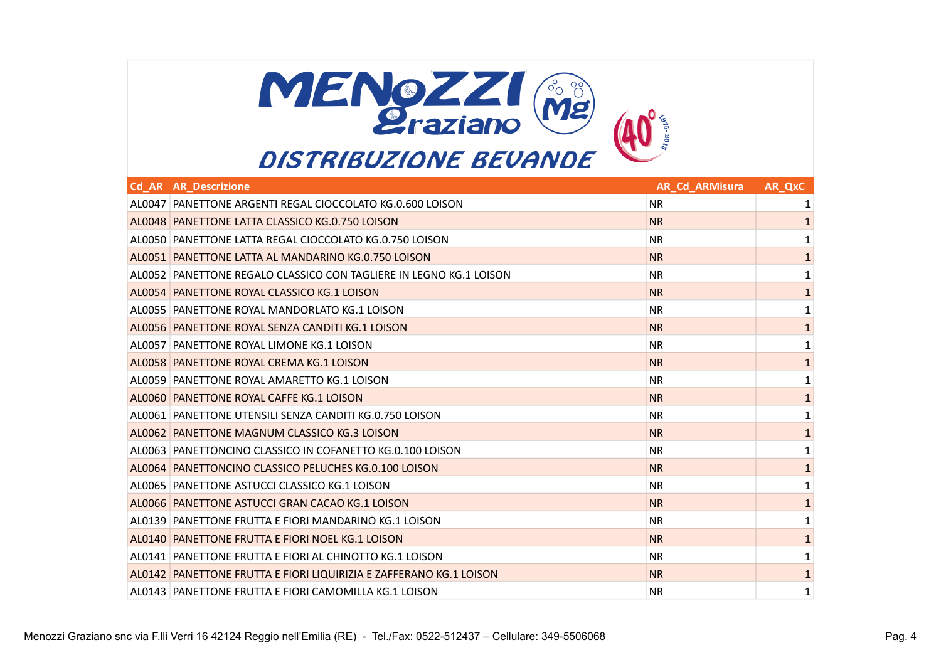

| <b>Cd AR AR Descrizione</b>                                        | <b>AR Cd ARMisura</b> | AR QxC       |
|--------------------------------------------------------------------|-----------------------|--------------|
| AL0047 PANETTONE ARGENTI REGAL CIOCCOLATO KG.0.600 LOISON          | <b>NR</b>             | 1            |
| AL0048 PANETTONE LATTA CLASSICO KG.0.750 LOISON                    | <b>NR</b>             | 1            |
| AL0050   PANETTONE LATTA REGAL CIOCCOLATO KG.0.750 LOISON          | <b>NR</b>             | 1            |
| AL0051 PANETTONE LATTA AL MANDARINO KG.0.750 LOISON                | <b>NR</b>             | $\mathbf 1$  |
| AL0052 PANETTONE REGALO CLASSICO CON TAGLIERE IN LEGNO KG.1 LOISON | <b>NR</b>             | 1            |
| AL0054 PANETTONE ROYAL CLASSICO KG.1 LOISON                        | <b>NR</b>             | 1            |
| AL0055 PANETTONE ROYAL MANDORLATO KG.1 LOISON                      | <b>NR</b>             | 1            |
| AL0056 PANETTONE ROYAL SENZA CANDITI KG.1 LOISON                   | <b>NR</b>             | $\mathbf{1}$ |
| AL0057 PANETTONE ROYAL LIMONE KG.1 LOISON                          | <b>NR</b>             | 1            |
| AL0058 PANETTONE ROYAL CREMA KG.1 LOISON                           | <b>NR</b>             | $\mathbf{1}$ |
| AL0059 PANETTONE ROYAL AMARETTO KG.1 LOISON                        | <b>NR</b>             | 1            |
| AL0060 PANETTONE ROYAL CAFFE KG.1 LOISON                           | <b>NR</b>             | $\mathbf{1}$ |
| AL0061 PANETTONE UTENSILI SENZA CANDITI KG.0.750 LOISON            | <b>NR</b>             | 1            |
| AL0062 PANETTONE MAGNUM CLASSICO KG.3 LOISON                       | <b>NR</b>             | $\mathbf{1}$ |
| AL0063 PANETTONCINO CLASSICO IN COFANETTO KG.0.100 LOISON          | <b>NR</b>             | 1            |
| AL0064 PANETTONCINO CLASSICO PELUCHES KG.0.100 LOISON              | <b>NR</b>             | $\mathbf{1}$ |
| AL0065   PANETTONE ASTUCCI CLASSICO KG.1 LOISON                    | <b>NR</b>             | 1            |
| AL0066 PANETTONE ASTUCCI GRAN CACAO KG.1 LOISON                    | <b>NR</b>             | $\mathbf{1}$ |
| AL0139 PANETTONE FRUTTA E FIORI MANDARINO KG.1 LOISON              | <b>NR</b>             | 1            |
| AL0140 PANETTONE FRUTTA E FIORI NOEL KG.1 LOISON                   | <b>NR</b>             | $\mathbf{1}$ |
| AL0141 PANETTONE FRUTTA E FIORI AL CHINOTTO KG.1 LOISON            | <b>NR</b>             | 1            |
| AL0142 PANETTONE FRUTTA E FIORI LIQUIRIZIA E ZAFFERANO KG.1 LOISON | <b>NR</b>             | $\mathbf{1}$ |
| AL0143 PANETTONE FRUTTA E FIORI CAMOMILLA KG.1 LOISON              | <b>NR</b>             | 1            |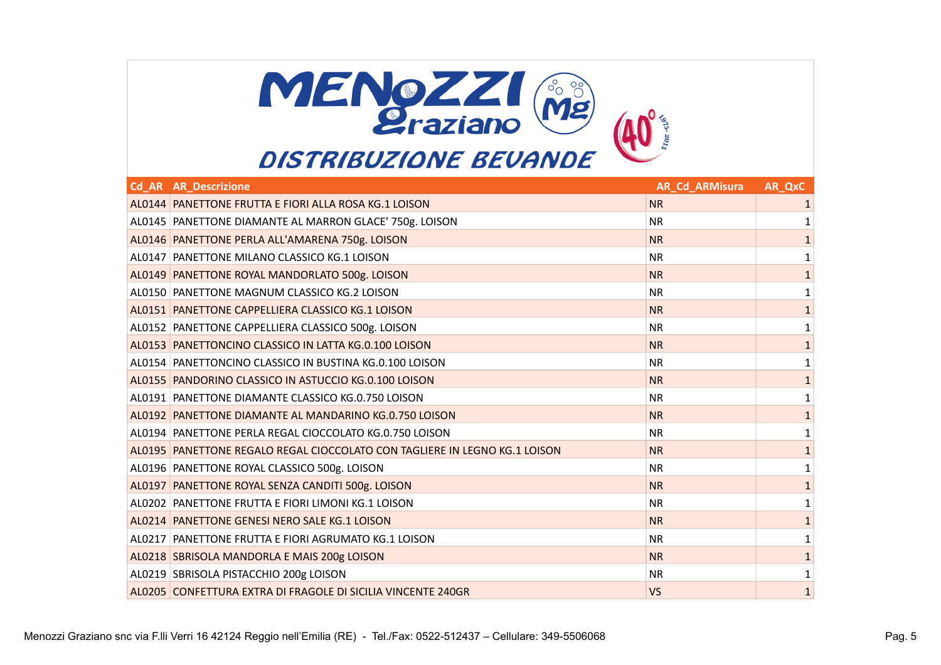

| <b>Cd AR AR Descrizione</b>                                                | <b>AR_Cd_ARMisura</b> | <b>AR_QxC</b> |
|----------------------------------------------------------------------------|-----------------------|---------------|
| AL0144 PANETTONE FRUTTA E FIORI ALLA ROSA KG.1 LOISON                      | <b>NR</b>             | 1             |
| AL0145 PANETTONE DIAMANTE AL MARRON GLACE' 750g. LOISON                    | <b>NR</b>             | 1             |
| AL0146 PANETTONE PERLA ALL'AMARENA 750g. LOISON                            | <b>NR</b>             | $\mathbf{1}$  |
| AL0147 PANETTONE MILANO CLASSICO KG.1 LOISON                               | <b>NR</b>             | 1             |
| AL0149 PANETTONE ROYAL MANDORLATO 500g. LOISON                             | <b>NR</b>             | $\mathbf{1}$  |
| AL0150 PANETTONE MAGNUM CLASSICO KG.2 LOISON                               | <b>NR</b>             | 1             |
| AL0151 PANETTONE CAPPELLIERA CLASSICO KG.1 LOISON                          | <b>NR</b>             | $\mathbf{1}$  |
| AL0152 PANETTONE CAPPELLIERA CLASSICO 500g. LOISON                         | <b>NR</b>             | 1             |
| AL0153 PANETTONCINO CLASSICO IN LATTA KG.0.100 LOISON                      | <b>NR</b>             | $\mathbf{1}$  |
| AL0154 PANETTONCINO CLASSICO IN BUSTINA KG.0.100 LOISON                    | <b>NR</b>             | 1             |
| AL0155 PANDORINO CLASSICO IN ASTUCCIO KG.0.100 LOISON                      | <b>NR</b>             | $\mathbf{1}$  |
| AL0191 PANETTONE DIAMANTE CLASSICO KG.0.750 LOISON                         | <b>NR</b>             |               |
| AL0192 PANETTONE DIAMANTE AL MANDARINO KG.0.750 LOISON                     | <b>NR</b>             | 1             |
| AL0194   PANETTONE PERLA REGAL CIOCCOLATO KG.0.750 LOISON                  | <b>NR</b>             | 1             |
| AL0195 PANETTONE REGALO REGAL CIOCCOLATO CON TAGLIERE IN LEGNO KG.1 LOISON | <b>NR</b>             | $\mathbf{1}$  |
| AL0196 PANETTONE ROYAL CLASSICO 500g. LOISON                               | <b>NR</b>             | 1             |
| AL0197 PANETTONE ROYAL SENZA CANDITI 500g. LOISON                          | <b>NR</b>             | $\mathbf{1}$  |
| AL0202 PANETTONE FRUTTA E FIORI LIMONI KG.1 LOISON                         | <b>NR</b>             | 1             |
| AL0214 PANETTONE GENESI NERO SALE KG.1 LOISON                              | <b>NR</b>             | $\mathbf{1}$  |
| AL0217 PANETTONE FRUTTA E FIORI AGRUMATO KG.1 LOISON                       | <b>NR</b>             | $\mathbf{1}$  |
| AL0218 SBRISOLA MANDORLA E MAIS 200g LOISON                                | <b>NR</b>             | $\mathbf{1}$  |
| AL0219 SBRISOLA PISTACCHIO 200g LOISON                                     | <b>NR</b>             | 1             |
| AL0205 CONFETTURA EXTRA DI FRAGOLE DI SICILIA VINCENTE 240GR               | VS                    | $\mathbf{1}$  |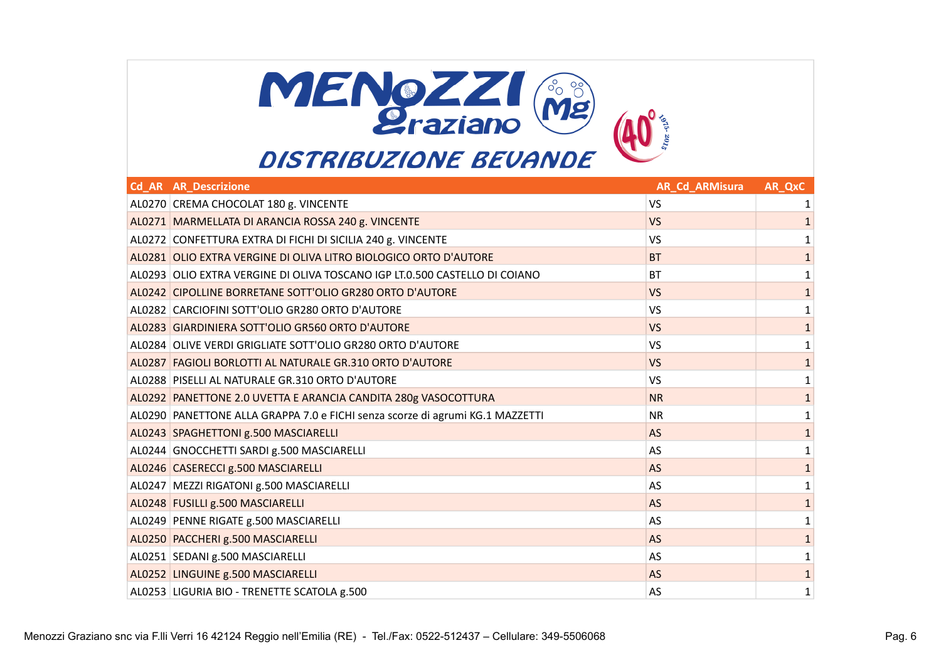

| <b>Cd AR AR Descrizione</b>                                                   | <b>AR_Cd_ARMisura</b> | AR_QxC       |
|-------------------------------------------------------------------------------|-----------------------|--------------|
| AL0270 CREMA CHOCOLAT 180 g. VINCENTE                                         | <b>VS</b>             | 1            |
| AL0271 MARMELLATA DI ARANCIA ROSSA 240 g. VINCENTE                            | <b>VS</b>             | 1            |
| AL0272 CONFETTURA EXTRA DI FICHI DI SICILIA 240 g. VINCENTE                   | <b>VS</b>             | $\mathbf{1}$ |
| AL0281 OLIO EXTRA VERGINE DI OLIVA LITRO BIOLOGICO ORTO D'AUTORE              | <b>BT</b>             |              |
| AL0293 OLIO EXTRA VERGINE DI OLIVA TOSCANO IGP LT.0.500 CASTELLO DI COIANO    | <b>BT</b>             |              |
| AL0242 CIPOLLINE BORRETANE SOTT'OLIO GR280 ORTO D'AUTORE                      | <b>VS</b>             | 1            |
| AL0282 CARCIOFINI SOTT'OLIO GR280 ORTO D'AUTORE                               | <b>VS</b>             |              |
| AL0283 GIARDINIERA SOTT'OLIO GR560 ORTO D'AUTORE                              | <b>VS</b>             | $\mathbf{1}$ |
| AL0284 OLIVE VERDI GRIGLIATE SOTT'OLIO GR280 ORTO D'AUTORE                    | <b>VS</b>             | 1            |
| AL0287 FAGIOLI BORLOTTI AL NATURALE GR.310 ORTO D'AUTORE                      | <b>VS</b>             | 1            |
| AL0288 PISELLI AL NATURALE GR.310 ORTO D'AUTORE                               | <b>VS</b>             | 1            |
| AL0292 PANETTONE 2.0 UVETTA E ARANCIA CANDITA 280g VASOCOTTURA                | <b>NR</b>             | $\mathbf{1}$ |
| AL0290 PANETTONE ALLA GRAPPA 7.0 e FICHI senza scorze di agrumi KG.1 MAZZETTI | <b>NR</b>             | 1            |
| AL0243 SPAGHETTONI g.500 MASCIARELLI                                          | <b>AS</b>             | 1            |
| AL0244 GNOCCHETTI SARDI g.500 MASCIARELLI                                     | AS                    | 1            |
| AL0246 CASERECCI g.500 MASCIARELLI                                            | <b>AS</b>             | $\mathbf{1}$ |
| AL0247   MEZZI RIGATONI g.500 MASCIARELLI                                     | AS                    | 1            |
| AL0248 FUSILLI g.500 MASCIARELLI                                              | <b>AS</b>             | 1            |
| AL0249 PENNE RIGATE g.500 MASCIARELLI                                         | AS                    | 1            |
| AL0250 PACCHERI g.500 MASCIARELLI                                             | <b>AS</b>             | $\mathbf{1}$ |
| AL0251 SEDANI g.500 MASCIARELLI                                               | AS                    |              |
| AL0252 LINGUINE g.500 MASCIARELLI                                             | <b>AS</b>             | 1            |
| AL0253 LIGURIA BIO - TRENETTE SCATOLA g.500                                   | AS                    | 1            |